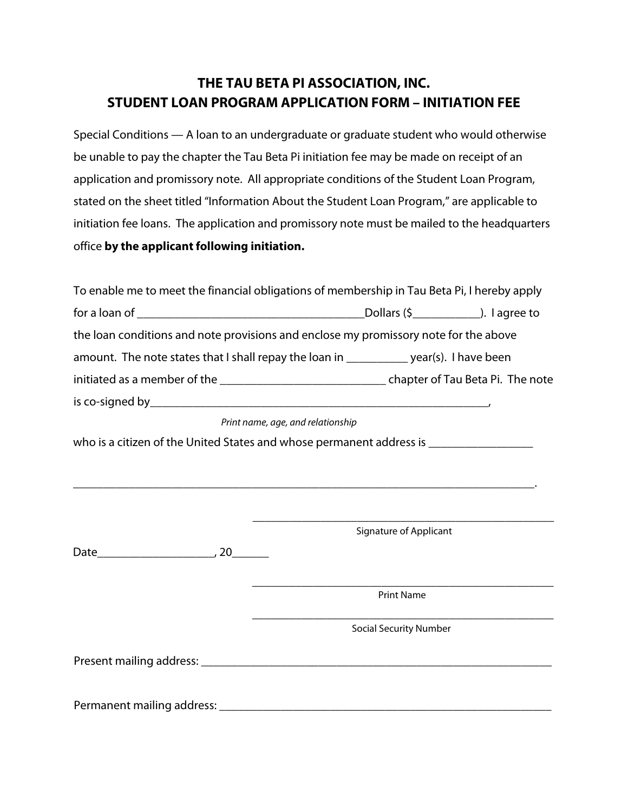## **THE TAU BETA PI ASSOCIATION, INC. STUDENT LOAN PROGRAM APPLICATION FORM – INITIATION FEE**

Special Conditions — A loan to an undergraduate or graduate student who would otherwise be unable to pay the chapter the Tau Beta Pi initiation fee may be made on receipt of an application and promissory note. All appropriate conditions of the Student Loan Program, stated on the sheet titled "Information About the Student Loan Program," are applicable to initiation fee loans. The application and promissory note must be mailed to the headquarters office **by the applicant following initiation.**

| To enable me to meet the financial obligations of membership in Tau Beta Pi, I hereby apply                    |  |  |  |  |  |
|----------------------------------------------------------------------------------------------------------------|--|--|--|--|--|
|                                                                                                                |  |  |  |  |  |
| the loan conditions and note provisions and enclose my promissory note for the above                           |  |  |  |  |  |
| amount. The note states that I shall repay the loan in ___________ year(s). I have been                        |  |  |  |  |  |
|                                                                                                                |  |  |  |  |  |
|                                                                                                                |  |  |  |  |  |
| Duba ta waxay waxay waxay ahaa dadka ahaa ahaan waxay kale ahaa ahaan waxay kale ahaan waxay kale waxay kale w |  |  |  |  |  |

 *Print name, age, and relationship* 

who is a citizen of the United States and whose permanent address is \_\_\_\_\_\_\_\_\_\_\_\_

\_\_\_\_\_\_\_\_\_\_\_\_\_\_\_\_\_\_\_\_\_\_\_\_\_\_\_\_\_\_\_\_\_\_\_\_\_\_\_\_\_\_\_\_\_\_\_\_\_\_\_\_\_\_\_\_\_\_\_\_\_\_\_\_\_\_\_\_\_\_\_\_\_\_\_.

\_\_\_\_\_\_\_\_\_\_\_\_\_\_\_\_\_\_\_\_\_\_\_\_\_\_\_\_\_\_\_\_\_\_\_\_\_\_\_\_\_\_\_\_\_\_\_\_\_ Signature of Applicant

Date\_\_\_\_\_\_\_\_\_\_\_\_\_\_\_\_\_\_\_, 20\_\_\_\_\_\_

\_\_\_\_\_\_\_\_\_\_\_\_\_\_\_\_\_\_\_\_\_\_\_\_\_\_\_\_\_\_\_\_\_\_\_\_\_\_\_\_\_\_\_\_\_\_\_\_\_ Print Name

\_\_\_\_\_\_\_\_\_\_\_\_\_\_\_\_\_\_\_\_\_\_\_\_\_\_\_\_\_\_\_\_\_\_\_\_\_\_\_\_\_\_\_\_\_\_\_\_\_ Social Security Number

Present mailing address: \_\_\_\_\_\_\_\_\_\_\_\_\_\_\_\_\_\_\_\_\_\_\_\_\_\_\_\_\_\_\_\_\_\_\_\_\_\_\_\_\_\_\_\_\_\_\_\_\_\_\_\_\_\_\_\_\_

Permanent mailing address: \_\_\_\_\_\_\_\_\_\_\_\_\_\_\_\_\_\_\_\_\_\_\_\_\_\_\_\_\_\_\_\_\_\_\_\_\_\_\_\_\_\_\_\_\_\_\_\_\_\_\_\_\_\_